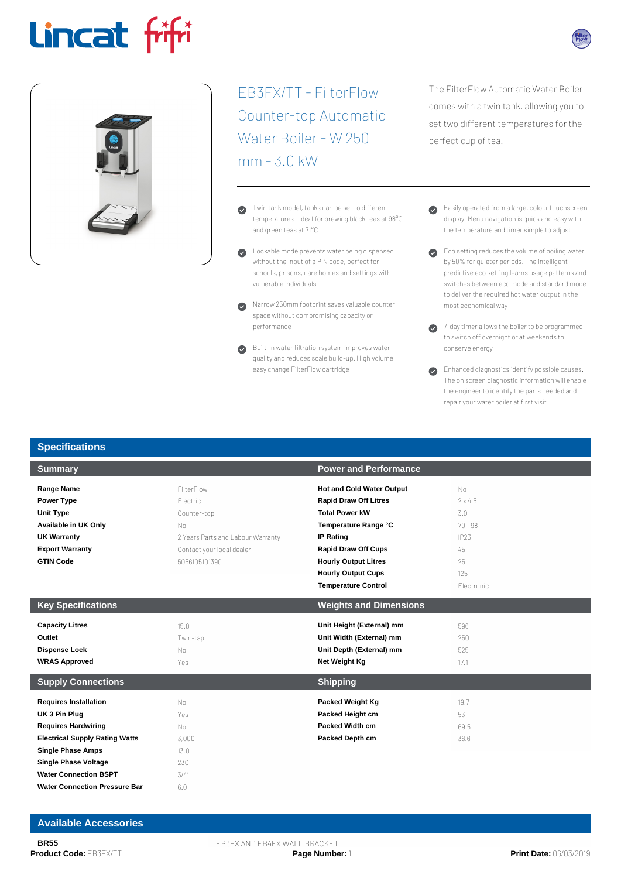# Lincat frifri



EB3FX/TT - FilterFlow Counter-top Automatic Water Boiler - W 250 mm - 3.0 kW

- Twin tank model, tanks can be set to different  $\bullet$ temperatures - ideal for brewing black teas at 98°C and green teas at 71°C
- Lockable mode prevents water being dispensed  $\bullet$ without the input of a PIN code, perfect for schools, prisons, care homes and settings with vulnerable individuals
- Narrow 250mm footprint saves valuable counter  $\bullet$ space without compromising capacity or performance
- Built-in water filtration system improves water quality and reduces scale build-up. High volume, easy change FilterFlow cartridge

The FilterFlow Automatic Water Boiler comes with a twin tank, allowing you to set two different temperatures for the perfect cup of tea.

- Easily operated from a large, colour touchscreen display. Menu navigation is quick and easy with the temperature and timer simple to adjust
- Eco setting reduces the volume of boiling water by 50% for quieter periods. The intelligent predictive eco setting learns usage patterns and switches between eco mode and standard mode to deliver the required hot water output in the most economical way
- 7-day timer allows the boiler to be programmed  $\bullet$ to switch off overnight or at weekends to conserve energy
- Enhanced diagnostics identify possible causes. The on screen diagnostic information will enable the engineer to identify the parts needed and repair your water boiler at first visit

## **Specifications**

| <b>Summary</b>                        |                                   | <b>Power and Performance</b>     |                  |
|---------------------------------------|-----------------------------------|----------------------------------|------------------|
| <b>Range Name</b>                     | FilterFlow                        | <b>Hot and Cold Water Output</b> | No               |
| <b>Power Type</b>                     | Electric                          | <b>Rapid Draw Off Litres</b>     | $2 \times 4.5$   |
| <b>Unit Type</b>                      | Counter-top                       | <b>Total Power kW</b>            | 3.0              |
| Available in UK Only                  | No.                               | Temperature Range °C             | $70 - 98$        |
| <b>UK Warranty</b>                    | 2 Years Parts and Labour Warranty | <b>IP Rating</b>                 | IP <sub>23</sub> |
| <b>Export Warranty</b>                | Contact your local dealer         | <b>Rapid Draw Off Cups</b>       | 45               |
| <b>GTIN Code</b>                      | 5056105101390                     | <b>Hourly Output Litres</b>      | 25               |
|                                       |                                   | <b>Hourly Output Cups</b>        | 125              |
|                                       |                                   | <b>Temperature Control</b>       | Electronic       |
| <b>Key Specifications</b>             |                                   | <b>Weights and Dimensions</b>    |                  |
| <b>Capacity Litres</b>                | 15.0                              | Unit Height (External) mm        | 596              |
| Outlet                                | Twin-tap                          | Unit Width (External) mm         | 250              |
| <b>Dispense Lock</b>                  | No.                               | Unit Depth (External) mm         | 525              |
| <b>WRAS Approved</b>                  | Yes                               | Net Weight Kg                    | 17.1             |
| <b>Supply Connections</b>             |                                   | <b>Shipping</b>                  |                  |
| <b>Requires Installation</b>          | No.                               | <b>Packed Weight Kg</b>          | 19.7             |
| UK 3 Pin Plug                         | Yes                               | Packed Height cm                 | 53               |
| <b>Requires Hardwiring</b>            | No.                               | <b>Packed Width cm</b>           | 69.5             |
| <b>Electrical Supply Rating Watts</b> | 3,000                             | Packed Depth cm                  | 36.6             |
| <b>Single Phase Amps</b>              | 13.0                              |                                  |                  |
| <b>Single Phase Voltage</b>           | 230                               |                                  |                  |
| <b>Water Connection BSPT</b>          | 3/4"                              |                                  |                  |

### **Available Accessories**

**Water Connection Pressure Bar** 6.0

**BR55** EB3FX AND EB4FX WALL BRACKET EDGE: LEGENT BRACKET EDGE: 1 **Product Code:** EB3FX/TT **Page Number:** 1 **Print Date:** 06/03/2019

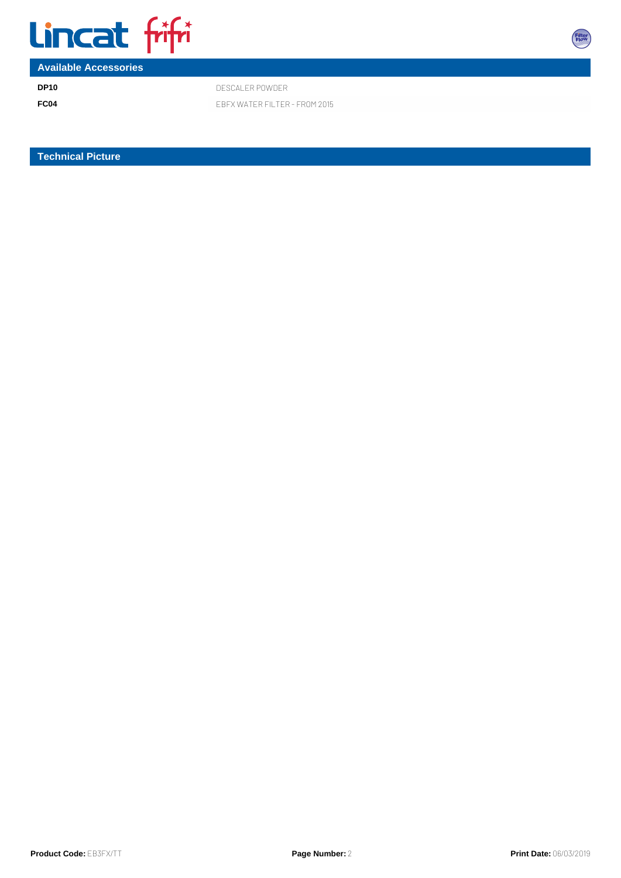



### **Available Accessories**

**DP10** DESCALER POWDER **FC04** EBFX WATER FILTER - FROM 2015

**Technical Picture**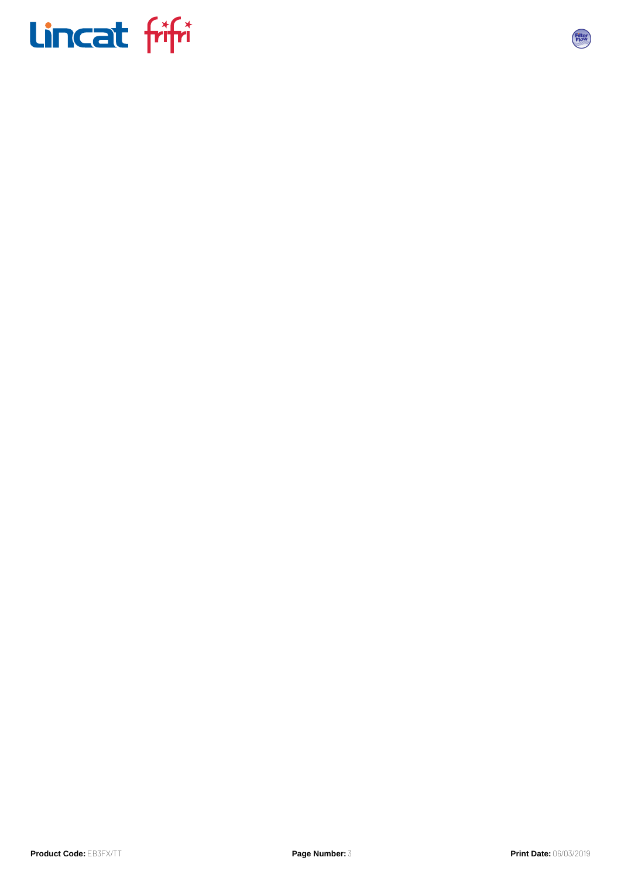

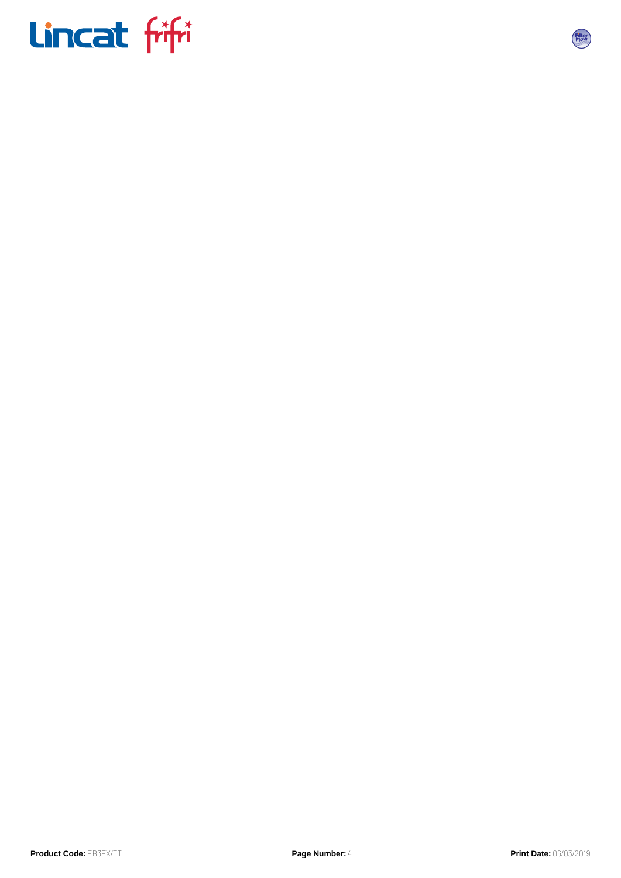

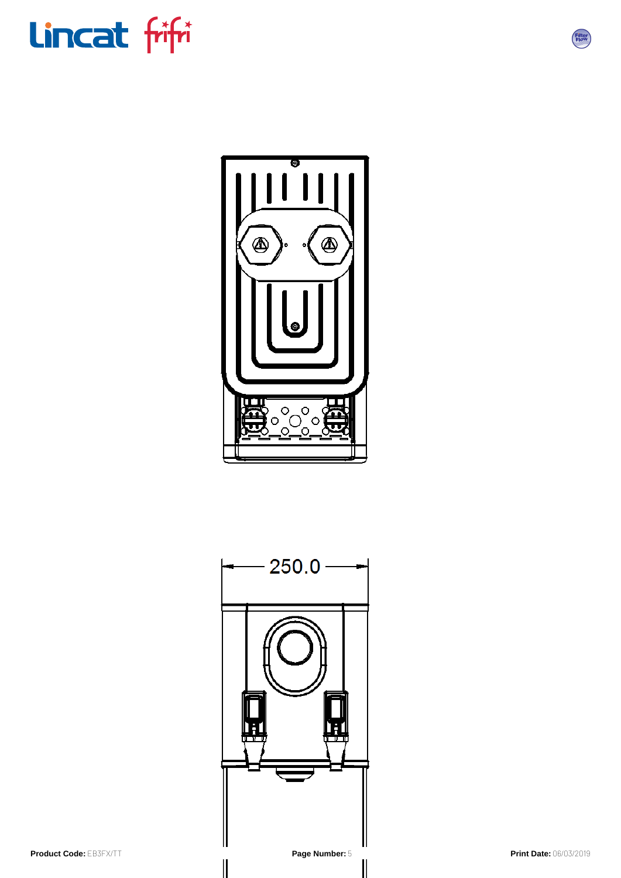# Lincat frifri